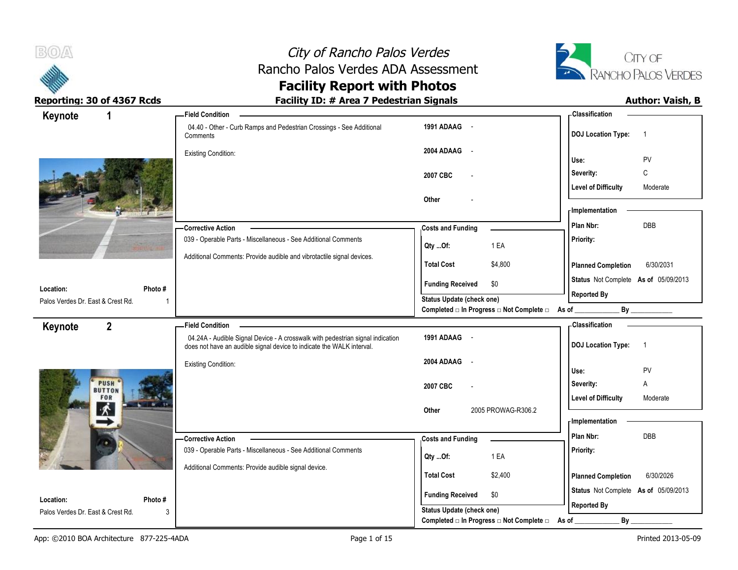



| Keynote<br>1                      | <b>Field Condition</b>                                                                                                                                  |                                                                                    | - Classification                            |
|-----------------------------------|---------------------------------------------------------------------------------------------------------------------------------------------------------|------------------------------------------------------------------------------------|---------------------------------------------|
|                                   | 04.40 - Other - Curb Ramps and Pedestrian Crossings - See Additional<br>Comments                                                                        | 1991 ADAAG -                                                                       | <b>DOJ Location Type:</b><br>$\overline{1}$ |
|                                   | <b>Existing Condition:</b>                                                                                                                              | 2004 ADAAG -                                                                       | PV<br>Use:                                  |
|                                   |                                                                                                                                                         | 2007 CBC                                                                           | C<br>Severity:                              |
|                                   |                                                                                                                                                         |                                                                                    | <b>Level of Difficulty</b><br>Moderate      |
|                                   |                                                                                                                                                         | Other                                                                              | - Implementation                            |
|                                   | -Corrective Action                                                                                                                                      | <b>Costs and Funding</b>                                                           | Plan Nbr:<br><b>DBB</b>                     |
|                                   | 039 - Operable Parts - Miscellaneous - See Additional Comments                                                                                          | 1 EA<br>Qty Of:                                                                    | Priority:                                   |
|                                   | Additional Comments: Provide audible and vibrotactile signal devices.                                                                                   | <b>Total Cost</b><br>\$4,800                                                       | 6/30/2031<br><b>Planned Completion</b>      |
| Location:<br>Photo #              |                                                                                                                                                         | \$0<br><b>Funding Received</b>                                                     | Status Not Complete As of 05/09/2013        |
| Palos Verdes Dr. East & Crest Rd. |                                                                                                                                                         | <b>Status Update (check one)</b><br>Completed □ In Progress □ Not Complete □ As of | <b>Reported By</b><br>By                    |
| $\overline{2}$<br>Keynote         | <b>Field Condition</b>                                                                                                                                  |                                                                                    | - Classification                            |
|                                   | 04.24A - Audible Signal Device - A crosswalk with pedestrian signal indication<br>does not have an audible signal device to indicate the WALK interval. | 1991 ADAAG -                                                                       | <b>DOJ Location Type:</b><br>$\overline{1}$ |
|                                   | <b>Existing Condition:</b>                                                                                                                              | 2004 ADAAG<br>$\sim$                                                               | Use:<br>PV                                  |
| <b>PUSH</b>                       |                                                                                                                                                         | 2007 CBC                                                                           | Severity:<br>Α                              |
| <b>BUTTON</b><br>FOR              |                                                                                                                                                         |                                                                                    | <b>Level of Difficulty</b><br>Moderate      |
|                                   |                                                                                                                                                         | 2005 PROWAG-R306.2<br>Other                                                        | - Implementation                            |
|                                   | -Corrective Action                                                                                                                                      | <b>Costs and Funding</b>                                                           | Plan Nbr:<br>DBB                            |
|                                   | 039 - Operable Parts - Miscellaneous - See Additional Comments                                                                                          | 1 EA<br>Qty Of:                                                                    | Priority:                                   |
|                                   | Additional Comments: Provide audible signal device.                                                                                                     | <b>Total Cost</b><br>\$2,400                                                       | 6/30/2026<br><b>Planned Completion</b>      |
|                                   |                                                                                                                                                         |                                                                                    | Status Not Complete As of 05/09/2013        |
| Location:<br>Photo#               |                                                                                                                                                         | <b>Funding Received</b><br>\$0                                                     | <b>Reported By</b>                          |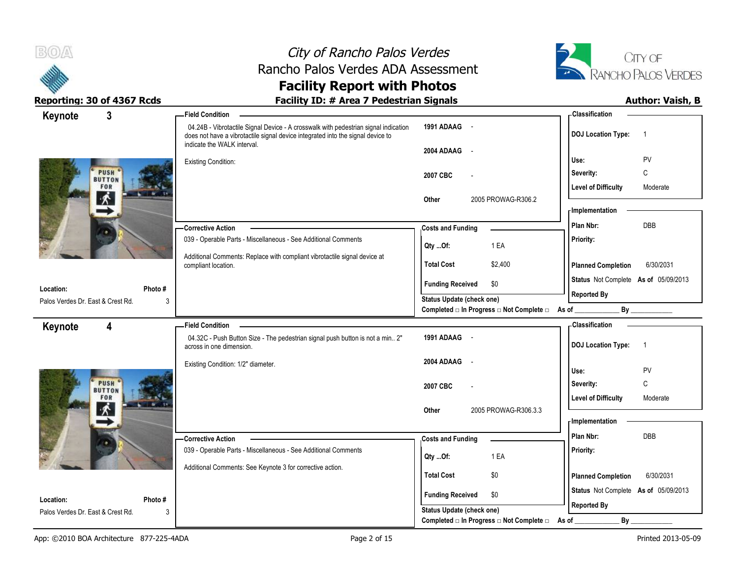



| $\mathbf{3}$<br>Keynote                | <b>Field Condition</b>                                                                                                                                                                                |                                                  | -Classification                             |
|----------------------------------------|-------------------------------------------------------------------------------------------------------------------------------------------------------------------------------------------------------|--------------------------------------------------|---------------------------------------------|
|                                        | 04.24B - Vibrotactile Signal Device - A crosswalk with pedestrian signal indication<br>does not have a vibrotactile signal device integrated into the signal device to<br>indicate the WALK interval. | 1991 ADAAG -                                     | <b>DOJ Location Type:</b><br>$\overline{1}$ |
|                                        |                                                                                                                                                                                                       | 2004 ADAAG -                                     | PV<br>Use:                                  |
| <b>PUSH</b>                            | <b>Existing Condition:</b>                                                                                                                                                                            |                                                  | Severity:<br>C                              |
| <b>BUTTON</b><br>FOR                   |                                                                                                                                                                                                       | 2007 CBC                                         | <b>Level of Difficulty</b><br>Moderate      |
| 术                                      |                                                                                                                                                                                                       | 2005 PROWAG-R306.2<br>Other                      |                                             |
|                                        |                                                                                                                                                                                                       |                                                  | - Implementation                            |
|                                        | <b>Corrective Action</b>                                                                                                                                                                              | <b>Costs and Funding</b>                         | <b>DBB</b><br>Plan Nbr:                     |
|                                        | 039 - Operable Parts - Miscellaneous - See Additional Comments                                                                                                                                        | 1 EA<br>Qty Of:                                  | Priority:                                   |
|                                        | Additional Comments: Replace with compliant vibrotactile signal device at                                                                                                                             |                                                  |                                             |
|                                        | compliant location.                                                                                                                                                                                   | <b>Total Cost</b><br>\$2,400                     | <b>Planned Completion</b><br>6/30/2031      |
| Photo#<br>Location:                    |                                                                                                                                                                                                       | \$0<br><b>Funding Received</b>                   | Status Not Complete As of 05/09/2013        |
| Palos Verdes Dr. East & Crest Rd.<br>3 |                                                                                                                                                                                                       | <b>Status Update (check one)</b>                 | <b>Reported By</b>                          |
|                                        |                                                                                                                                                                                                       | Completed □ In Progress □ Not Complete □ As of _ |                                             |
| 4<br>Keynote                           | - Field Condition                                                                                                                                                                                     |                                                  | - Classification                            |
|                                        | 04.32C - Push Button Size - The pedestrian signal push button is not a min 2"<br>across in one dimension.                                                                                             | 1991 ADAAG -                                     | <b>DOJ</b> Location Type:<br>$\overline{1}$ |
|                                        | Existing Condition: 1/2" diameter.                                                                                                                                                                    | 2004 ADAAG -                                     | Use:<br>PV                                  |
| <b>PUSH</b>                            |                                                                                                                                                                                                       |                                                  | $\mathsf{C}$<br>Severity:                   |
| <b>BUTTON</b><br>FOR                   |                                                                                                                                                                                                       | 2007 CBC                                         | <b>Level of Difficulty</b><br>Moderate      |
| $\sim$                                 |                                                                                                                                                                                                       | 2005 PROWAG-R306.3.3<br>Other                    |                                             |
|                                        |                                                                                                                                                                                                       |                                                  | <b>Implementation</b>                       |
|                                        | - Corrective Action                                                                                                                                                                                   | <b>Costs and Funding</b>                         | DBB<br>Plan Nbr:                            |
|                                        | 039 - Operable Parts - Miscellaneous - See Additional Comments                                                                                                                                        | 1 EA<br>Qty Of:                                  | Priority:                                   |
|                                        | Additional Comments: See Keynote 3 for corrective action.                                                                                                                                             |                                                  |                                             |
|                                        |                                                                                                                                                                                                       | <b>Total Cost</b><br>\$0                         | <b>Planned Completion</b><br>6/30/2031      |
| Location:<br>Photo#                    |                                                                                                                                                                                                       | <b>Funding Received</b><br>\$0                   | Status Not Complete As of 05/09/2013        |
| Palos Verdes Dr. East & Crest Rd.<br>3 |                                                                                                                                                                                                       | <b>Status Update (check one)</b>                 | <b>Reported By</b>                          |
|                                        |                                                                                                                                                                                                       | Completed □ In Progress □ Not Complete □         | By<br>As of                                 |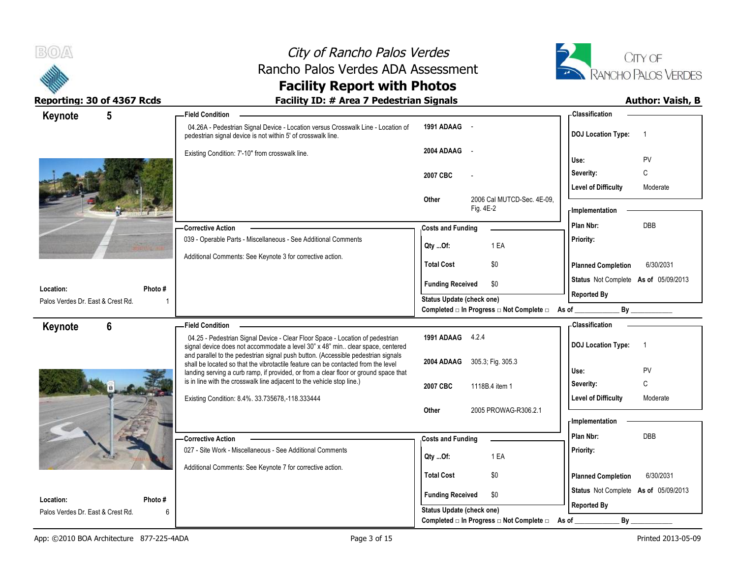

# City of Rancho Palos Verdes Rancho Palos Verdes ADA Assessment



### **Facility Report with Photos Reporting: 30 of 4367 Rcds Facility ID: # Area 7 Pedestrian Signals Author: Vaish, B**

| $5\phantom{.0}$<br>Keynote                     |             | <b>Field Condition</b>                                                                                                                                                 |                                  |                          |                                                         | - Classification           |                                      |
|------------------------------------------------|-------------|------------------------------------------------------------------------------------------------------------------------------------------------------------------------|----------------------------------|--------------------------|---------------------------------------------------------|----------------------------|--------------------------------------|
|                                                |             | 04.26A - Pedestrian Signal Device - Location versus Crosswalk Line - Location of<br>pedestrian signal device is not within 5' of crosswalk line.                       | 1991 ADAAG -                     |                          |                                                         | <b>DOJ Location Type:</b>  | $\overline{1}$                       |
|                                                |             | Existing Condition: 7'-10" from crosswalk line.                                                                                                                        | 2004 ADAAG                       | $\overline{\phantom{a}}$ |                                                         | Use:                       | PV                                   |
|                                                |             |                                                                                                                                                                        | 2007 CBC                         |                          |                                                         | Severity:                  | C                                    |
|                                                |             |                                                                                                                                                                        |                                  |                          |                                                         | <b>Level of Difficulty</b> | Moderate                             |
|                                                |             |                                                                                                                                                                        | Other                            | Fig. 4E-2                | 2006 Cal MUTCD-Sec. 4E-09.                              | <b>Implementation</b>      |                                      |
|                                                |             |                                                                                                                                                                        |                                  |                          |                                                         | Plan Nbr:                  | <b>DBB</b>                           |
|                                                |             | <b>Corrective Action</b><br>039 - Operable Parts - Miscellaneous - See Additional Comments                                                                             | <b>Costs and Funding</b>         |                          |                                                         | Priority:                  |                                      |
|                                                |             |                                                                                                                                                                        | Qty Of:                          |                          | 1 EA                                                    |                            |                                      |
|                                                |             | Additional Comments: See Keynote 3 for corrective action.                                                                                                              | <b>Total Cost</b>                |                          | \$0                                                     | <b>Planned Completion</b>  | 6/30/2031                            |
| Location:                                      | Photo #     |                                                                                                                                                                        | <b>Funding Received</b>          |                          | \$0                                                     |                            | Status Not Complete As of 05/09/2013 |
| Palos Verdes Dr. East & Crest Rd.              |             |                                                                                                                                                                        | Status Update (check one)        |                          |                                                         | <b>Reported By</b>         |                                      |
|                                                |             |                                                                                                                                                                        |                                  |                          | Completed □ In Progress □ Not Complete □ As of ________ |                            | $\mathsf{By}$                        |
| 6<br>Keynote                                   |             | <b>Field Condition</b>                                                                                                                                                 |                                  |                          |                                                         | <b>Classification</b>      |                                      |
|                                                |             | 04.25 - Pedestrian Signal Device - Clear Floor Space - Location of pedestrian<br>signal device does not accommodate a level 30" x 48" min clear space, centered        | 1991 ADAAG 4.2.4                 |                          |                                                         | <b>DOJ Location Type:</b>  | $\overline{1}$                       |
|                                                |             | and parallel to the pedestrian signal push button. (Accessible pedestrian signals<br>shall be located so that the vibrotactile feature can be contacted from the level | 2004 ADAAG                       |                          | 305.3; Fig. 305.3                                       |                            |                                      |
|                                                |             | landing serving a curb ramp, if provided, or from a clear floor or ground space that                                                                                   |                                  |                          |                                                         | Use:                       | PV                                   |
|                                                |             | is in line with the crosswalk line adjacent to the vehicle stop line.)                                                                                                 | 2007 CBC                         |                          | 1118B.4 item 1                                          | Severity:                  | C                                    |
|                                                |             | Existing Condition: 8.4%. 33.735678,-118.333444                                                                                                                        |                                  |                          |                                                         | <b>Level of Difficulty</b> | Moderate                             |
|                                                |             |                                                                                                                                                                        | Other                            |                          | 2005 PROWAG-R306.2.1                                    | - Implementation           |                                      |
|                                                |             |                                                                                                                                                                        |                                  |                          |                                                         | Plan Nbr:                  | <b>DBB</b>                           |
|                                                |             | <b>Corrective Action</b><br>027 - Site Work - Miscellaneous - See Additional Comments                                                                                  | <b>Costs and Funding</b>         |                          |                                                         | Priority:                  |                                      |
|                                                |             |                                                                                                                                                                        | Qty Of:                          |                          | 1 EA                                                    |                            |                                      |
|                                                |             | Additional Comments: See Keynote 7 for corrective action.                                                                                                              | <b>Total Cost</b>                |                          | \$0                                                     | <b>Planned Completion</b>  | 6/30/2031                            |
|                                                |             |                                                                                                                                                                        | <b>Funding Received</b>          |                          | \$0                                                     |                            | Status Not Complete As of 05/09/2013 |
| Location:<br>Palos Verdes Dr. East & Crest Rd. | Photo#<br>6 |                                                                                                                                                                        | <b>Status Update (check one)</b> |                          |                                                         | <b>Reported By</b>         |                                      |
|                                                |             |                                                                                                                                                                        |                                  |                          | Completed □ In Progress □ Not Complete □                | As of                      | By                                   |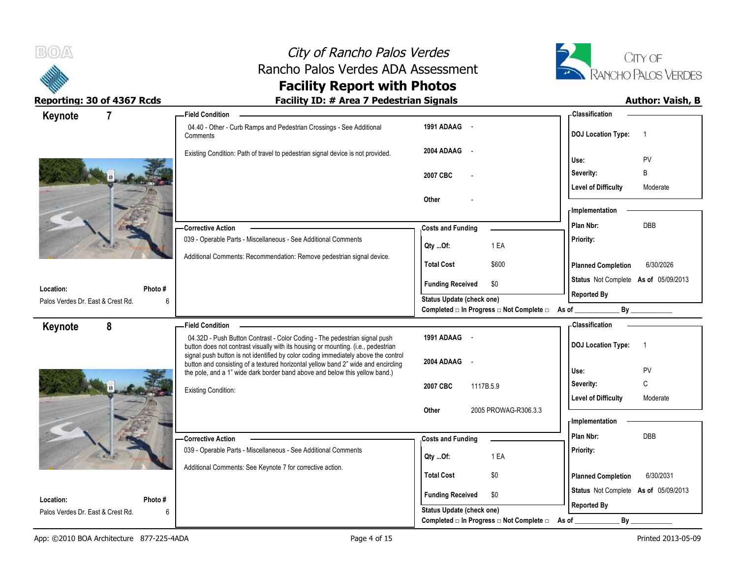



| Keynote                                        | $\overline{7}$ | <b>Field Condition</b>                                                                                                                                           |                                                  | - Classification                            |
|------------------------------------------------|----------------|------------------------------------------------------------------------------------------------------------------------------------------------------------------|--------------------------------------------------|---------------------------------------------|
|                                                |                | 04.40 - Other - Curb Ramps and Pedestrian Crossings - See Additional<br>Comments                                                                                 | 1991 ADAAG -                                     | <b>DOJ Location Type:</b><br>-1             |
|                                                |                | Existing Condition: Path of travel to pedestrian signal device is not provided.                                                                                  | 2004 ADAAG<br>$\sim$                             | PV<br>Use:                                  |
|                                                |                |                                                                                                                                                                  | 2007 CBC                                         | Severity:<br>B                              |
|                                                |                |                                                                                                                                                                  |                                                  | <b>Level of Difficulty</b><br>Moderate      |
|                                                |                | Other                                                                                                                                                            |                                                  |                                             |
|                                                |                |                                                                                                                                                                  |                                                  | - Implementation                            |
|                                                |                | <b>Corrective Action</b>                                                                                                                                         | <b>Costs and Funding</b>                         | DBB<br>Plan Nbr:                            |
|                                                |                | 039 - Operable Parts - Miscellaneous - See Additional Comments                                                                                                   | Qty Of:<br>1 EA                                  | Priority:                                   |
|                                                |                | Additional Comments: Recommendation: Remove pedestrian signal device.                                                                                            | <b>Total Cost</b><br>\$600                       | <b>Planned Completion</b><br>6/30/2026      |
|                                                |                |                                                                                                                                                                  | <b>Funding Received</b><br>\$0                   | Status Not Complete As of 05/09/2013        |
| Location:<br>Palos Verdes Dr. East & Crest Rd. | Photo #<br>6   |                                                                                                                                                                  | <b>Status Update (check one)</b>                 | <b>Reported By</b>                          |
|                                                |                |                                                                                                                                                                  | Completed □ In Progress □ Not Complete □ As of _ |                                             |
| Keynote                                        | 8              | <b>Field Condition</b>                                                                                                                                           |                                                  | - Classification                            |
|                                                |                | 04.32D - Push Button Contrast - Color Coding - The pedestrian signal push<br>button does not contrast visually with its housing or mounting. (i.e., pedestrian   | 1991 ADAAG -                                     | <b>DOJ Location Type:</b><br>$\overline{1}$ |
|                                                |                | signal push button is not identified by color coding immediately above the control                                                                               | 2004 ADAAG<br>$\sim$                             |                                             |
|                                                |                | button and consisting of a textured horizontal yellow band 2" wide and encircling<br>the pole, and a 1" wide dark border band above and below this yellow band.) |                                                  | Use:<br><b>PV</b>                           |
|                                                |                | <b>Existing Condition:</b>                                                                                                                                       | 2007 CBC<br>1117B.5.9                            | $\mathbb C$<br>Severity:                    |
|                                                |                |                                                                                                                                                                  |                                                  | <b>Level of Difficulty</b><br>Moderate      |
|                                                |                |                                                                                                                                                                  | 2005 PROWAG-R306.3.3<br>Other                    | - Implementation                            |
|                                                |                |                                                                                                                                                                  |                                                  |                                             |
|                                                |                | <b>Corrective Action</b><br>039 - Operable Parts - Miscellaneous - See Additional Comments                                                                       | <b>Costs and Funding</b>                         | Plan Nbr:<br>DBB<br>Priority:               |
|                                                |                |                                                                                                                                                                  | 1 EA<br>Qty Of:                                  |                                             |
|                                                |                | Additional Comments: See Keynote 7 for corrective action.                                                                                                        | <b>Total Cost</b><br>\$0                         | 6/30/2031<br><b>Planned Completion</b>      |
|                                                |                |                                                                                                                                                                  | <b>Funding Received</b><br>\$0                   | Status Not Complete As of 05/09/2013        |
|                                                |                |                                                                                                                                                                  |                                                  |                                             |
| Location:<br>Palos Verdes Dr. East & Crest Rd. | Photo #<br>6   |                                                                                                                                                                  | <b>Status Update (check one)</b>                 | <b>Reported By</b>                          |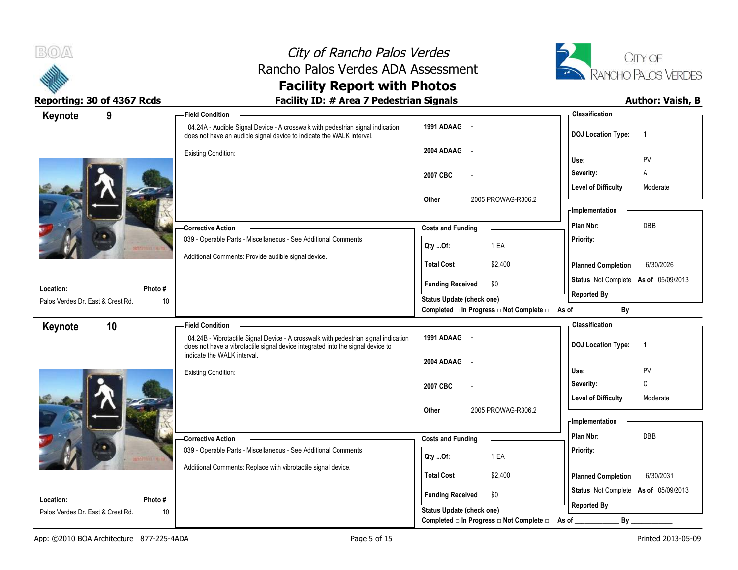



| Keynote                                        | 9             | <b>Field Condition</b>                                                                                                                                                 |                                                                               | <b>Classification</b>                                             |
|------------------------------------------------|---------------|------------------------------------------------------------------------------------------------------------------------------------------------------------------------|-------------------------------------------------------------------------------|-------------------------------------------------------------------|
|                                                |               | 04.24A - Audible Signal Device - A crosswalk with pedestrian signal indication<br>does not have an audible signal device to indicate the WALK interval.                | 1991 ADAAG -                                                                  | <b>DOJ Location Type:</b><br>$\overline{1}$                       |
|                                                |               | <b>Existing Condition:</b>                                                                                                                                             | 2004 ADAAG<br>$\sim$ $-$                                                      | PV<br>Use:                                                        |
|                                                |               |                                                                                                                                                                        | 2007 CBC<br>$\overline{a}$                                                    | Severity:<br>Α                                                    |
|                                                |               |                                                                                                                                                                        | 2005 PROWAG-R306.2<br>Other                                                   | <b>Level of Difficulty</b><br>Moderate                            |
|                                                |               |                                                                                                                                                                        |                                                                               | <b>Implementation</b>                                             |
|                                                |               | -Corrective Action                                                                                                                                                     | <b>Costs and Funding</b>                                                      | DBB<br>Plan Nbr:                                                  |
|                                                |               | 039 - Operable Parts - Miscellaneous - See Additional Comments                                                                                                         | 1 EA<br>Qty Of:                                                               | Priority:                                                         |
|                                                |               | Additional Comments: Provide audible signal device.                                                                                                                    | <b>Total Cost</b><br>\$2,400                                                  | <b>Planned Completion</b><br>6/30/2026                            |
| Location:                                      | Photo #       |                                                                                                                                                                        | <b>Funding Received</b><br>\$0                                                | Status Not Complete As of 05/09/2013                              |
| Palos Verdes Dr. East & Crest Rd.              | 10            |                                                                                                                                                                        | Status Update (check one)<br>Completed □ In Progress □ Not Complete □ As of _ | <b>Reported By</b><br>By ______________                           |
|                                                |               |                                                                                                                                                                        |                                                                               |                                                                   |
|                                                | 10            | <b>Field Condition</b>                                                                                                                                                 |                                                                               | - Classification                                                  |
| Keynote                                        |               | 04.24B - Vibrotactile Signal Device - A crosswalk with pedestrian signal indication<br>does not have a vibrotactile signal device integrated into the signal device to | 1991 ADAAG -                                                                  | <b>DOJ</b> Location Type:<br>$\overline{1}$                       |
|                                                |               | indicate the WALK interval.                                                                                                                                            | 2004 ADAAG<br>$\sim$ $\sim$                                                   |                                                                   |
|                                                |               | <b>Existing Condition:</b>                                                                                                                                             |                                                                               | Use:<br>PV                                                        |
|                                                |               |                                                                                                                                                                        | 2007 CBC<br>$\overline{a}$                                                    | C<br>Severity:<br><b>Level of Difficulty</b><br>Moderate          |
|                                                |               |                                                                                                                                                                        | 2005 PROWAG-R306.2<br>Other                                                   |                                                                   |
|                                                |               |                                                                                                                                                                        |                                                                               | - Implementation<br>Plan Nbr:<br><b>DBB</b>                       |
|                                                |               | -Corrective Action<br>039 - Operable Parts - Miscellaneous - See Additional Comments                                                                                   | <b>Costs and Funding</b><br>1 EA                                              | Priority:                                                         |
|                                                |               | Additional Comments: Replace with vibrotactile signal device.                                                                                                          | Qty Of:<br><b>Total Cost</b><br>\$2,400                                       | 6/30/2031                                                         |
|                                                |               |                                                                                                                                                                        | <b>Funding Received</b><br>\$0                                                | <b>Planned Completion</b><br>Status Not Complete As of 05/09/2013 |
| Location:<br>Palos Verdes Dr. East & Crest Rd. | Photo #<br>10 |                                                                                                                                                                        | Status Update (check one)                                                     | <b>Reported By</b>                                                |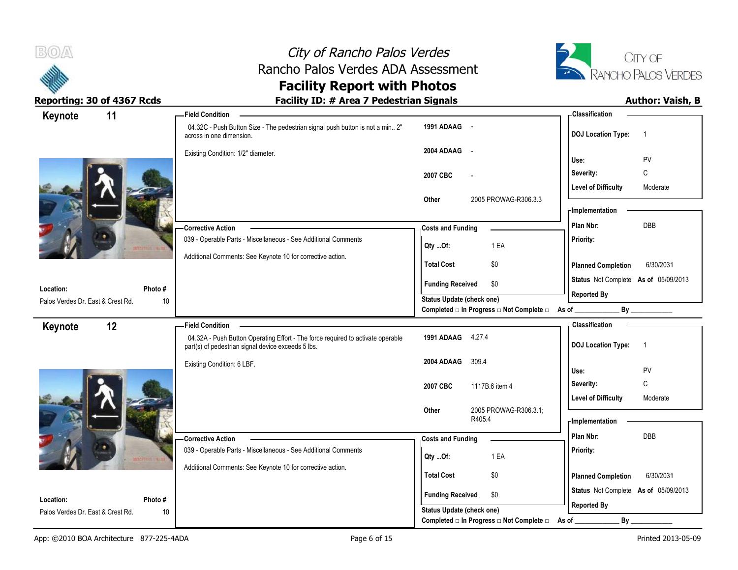



| Keynote                           | 11              | -Field Condition                                                                                                                      |                                                                       | - Classification                            |
|-----------------------------------|-----------------|---------------------------------------------------------------------------------------------------------------------------------------|-----------------------------------------------------------------------|---------------------------------------------|
|                                   |                 | 04.32C - Push Button Size - The pedestrian signal push button is not a min 2"<br>across in one dimension.                             | 1991 ADAAG -                                                          | <b>DOJ Location Type:</b><br>$\overline{1}$ |
|                                   |                 | Existing Condition: 1/2" diameter.                                                                                                    | 2004 ADAAG<br>$\sim$                                                  | PV<br>Use:                                  |
|                                   |                 |                                                                                                                                       | 2007 CBC<br>$\overline{a}$                                            | Severity:<br>C                              |
|                                   |                 |                                                                                                                                       |                                                                       | <b>Level of Difficulty</b><br>Moderate      |
|                                   |                 | 2005 PROWAG-R306.3.3<br>Other                                                                                                         |                                                                       |                                             |
|                                   |                 |                                                                                                                                       |                                                                       | - Implementation                            |
|                                   |                 | <b>Corrective Action</b>                                                                                                              | <b>Costs and Funding</b>                                              | DBB<br>Plan Nbr:                            |
|                                   |                 | 039 - Operable Parts - Miscellaneous - See Additional Comments                                                                        | 1 EA<br>Qty Of:                                                       | Priority:                                   |
|                                   |                 | Additional Comments: See Keynote 10 for corrective action.                                                                            | <b>Total Cost</b><br>\$0                                              | 6/30/2031<br><b>Planned Completion</b>      |
|                                   |                 |                                                                                                                                       | <b>Funding Received</b><br>\$0                                        | Status Not Complete As of 05/09/2013        |
| Location:                         | Photo #         |                                                                                                                                       | <b>Status Update (check one)</b>                                      | <b>Reported By</b>                          |
| Palos Verdes Dr. East & Crest Rd. | 10 <sup>°</sup> |                                                                                                                                       | Completed □ In Progress □ Not Complete □ As of _                      | By                                          |
|                                   |                 |                                                                                                                                       |                                                                       | - Classification                            |
|                                   | 12              | <b>Field Condition</b>                                                                                                                |                                                                       |                                             |
| Keynote                           |                 | 04.32A - Push Button Operating Effort - The force required to activate operable<br>part(s) of pedestrian signal device exceeds 5 lbs. | 1991 ADAAG 4.27.4                                                     | <b>DOJ</b> Location Type:<br>$\overline{1}$ |
|                                   |                 | Existing Condition: 6 LBF.                                                                                                            | 2004 ADAAG<br>309.4                                                   |                                             |
|                                   |                 |                                                                                                                                       |                                                                       | Use:<br>PV                                  |
|                                   |                 |                                                                                                                                       | 2007 CBC<br>1117B.6 item 4                                            | $\mathsf{C}$<br>Severity:                   |
|                                   |                 |                                                                                                                                       | Other                                                                 | <b>Level of Difficulty</b><br>Moderate      |
|                                   |                 |                                                                                                                                       | 2005 PROWAG-R306.3.1;<br>R405.4                                       | <b>Implementation</b>                       |
|                                   |                 | <b>Corrective Action</b>                                                                                                              | <b>Costs and Funding</b>                                              | Plan Nbr:<br><b>DBB</b>                     |
|                                   |                 | 039 - Operable Parts - Miscellaneous - See Additional Comments                                                                        |                                                                       | Priority:                                   |
|                                   |                 | Additional Comments: See Keynote 10 for corrective action.                                                                            | 1 EA<br>Qty Of:                                                       |                                             |
|                                   |                 |                                                                                                                                       | <b>Total Cost</b><br>\$0                                              | 6/30/2031<br><b>Planned Completion</b>      |
| Location:                         | Photo #         |                                                                                                                                       | <b>Funding Received</b><br>\$0                                        | Status Not Complete As of 05/09/2013        |
| Palos Verdes Dr. East & Crest Rd. | 10              |                                                                                                                                       | Status Update (check one)<br>Completed □ In Progress □ Not Complete □ | <b>Reported By</b><br>By<br>As of           |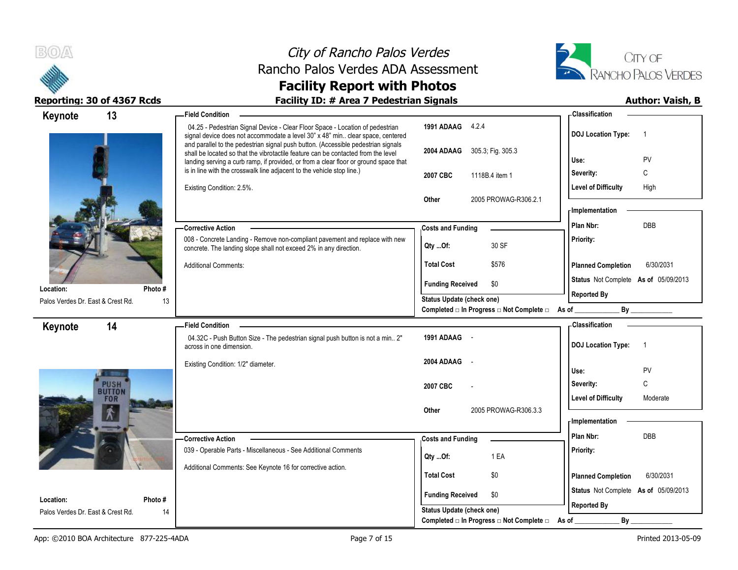



| Keynote                                        | 13                    | - Field Condition                                                                                                                                                                                                                                              |                                                  | - Classification                            |
|------------------------------------------------|-----------------------|----------------------------------------------------------------------------------------------------------------------------------------------------------------------------------------------------------------------------------------------------------------|--------------------------------------------------|---------------------------------------------|
|                                                |                       | 04.25 - Pedestrian Signal Device - Clear Floor Space - Location of pedestrian<br>signal device does not accommodate a level 30" x 48" min clear space, centered                                                                                                | 1991 ADAAG 4.2.4                                 | <b>DOJ Location Type:</b><br>$\overline{1}$ |
|                                                |                       | and parallel to the pedestrian signal push button. (Accessible pedestrian signals<br>shall be located so that the vibrotactile feature can be contacted from the level<br>landing serving a curb ramp, if provided, or from a clear floor or ground space that | 2004 ADAAG 305.3; Fig. 305.3                     | Use:<br>PV                                  |
|                                                |                       | is in line with the crosswalk line adjacent to the vehicle stop line.)                                                                                                                                                                                         | 2007 CBC<br>1118B.4 item 1                       | С<br>Severity:                              |
|                                                |                       | Existing Condition: 2.5%.                                                                                                                                                                                                                                      |                                                  | <b>Level of Difficulty</b><br>High          |
|                                                |                       |                                                                                                                                                                                                                                                                | 2005 PROWAG-R306.2.1<br>Other                    |                                             |
|                                                |                       |                                                                                                                                                                                                                                                                |                                                  | - Implementation                            |
|                                                |                       | <b>Corrective Action</b>                                                                                                                                                                                                                                       | <b>Costs and Funding</b>                         | Plan Nbr:<br>DBB                            |
|                                                |                       | 008 - Concrete Landing - Remove non-compliant pavement and replace with new<br>concrete. The landing slope shall not exceed 2% in any direction.                                                                                                               | 30 SF<br>Qty Of:                                 | Priority:                                   |
|                                                |                       | <b>Additional Comments:</b>                                                                                                                                                                                                                                    | <b>Total Cost</b><br>\$576                       | <b>Planned Completion</b><br>6/30/2031      |
|                                                |                       |                                                                                                                                                                                                                                                                | <b>Funding Received</b><br>\$0                   | Status Not Complete As of 05/09/2013        |
| Location:<br>Palos Verdes Dr. East & Crest Rd. | Photo#<br>13          |                                                                                                                                                                                                                                                                | Status Update (check one)                        | <b>Reported By</b>                          |
|                                                |                       |                                                                                                                                                                                                                                                                | Completed □ In Progress □ Not Complete □ As of _ | By                                          |
| Keynote                                        | 14                    | <b>Field Condition</b>                                                                                                                                                                                                                                         |                                                  | - Classification                            |
|                                                |                       | 04.32C - Push Button Size - The pedestrian signal push button is not a min 2"<br>across in one dimension.                                                                                                                                                      | 1991 ADAAG -                                     | <b>DOJ Location Type:</b><br>$\overline{1}$ |
|                                                |                       | Existing Condition: 1/2" diameter.                                                                                                                                                                                                                             | 2004 ADAAG                                       |                                             |
|                                                |                       |                                                                                                                                                                                                                                                                |                                                  | PV<br>Use:<br>C<br>Severity:                |
|                                                | <b>PUSH</b><br>BUTTON |                                                                                                                                                                                                                                                                | 2007 CBC                                         | <b>Level of Difficulty</b><br>Moderate      |
|                                                | FOR                   |                                                                                                                                                                                                                                                                | 2005 PROWAG-R306.3.3<br>Other                    |                                             |
|                                                |                       |                                                                                                                                                                                                                                                                |                                                  | - Implementation                            |
|                                                |                       | -Corrective Action                                                                                                                                                                                                                                             | <b>Costs and Funding</b>                         | Plan Nbr:<br><b>DBB</b>                     |
|                                                |                       | 039 - Operable Parts - Miscellaneous - See Additional Comments                                                                                                                                                                                                 | 1 EA<br>$Qty$ Of:                                | Priority:                                   |
|                                                |                       | Additional Comments: See Keynote 16 for corrective action.                                                                                                                                                                                                     |                                                  |                                             |
|                                                |                       |                                                                                                                                                                                                                                                                | <b>Total Cost</b><br>\$0                         | 6/30/2031<br><b>Planned Completion</b>      |
| Location:                                      | Photo#                |                                                                                                                                                                                                                                                                | <b>Funding Received</b><br>\$0                   | Status Not Complete As of 05/09/2013        |
|                                                |                       |                                                                                                                                                                                                                                                                |                                                  | <b>Reported By</b>                          |
| Palos Verdes Dr. East & Crest Rd.              | 14                    |                                                                                                                                                                                                                                                                | <b>Status Update (check one)</b>                 |                                             |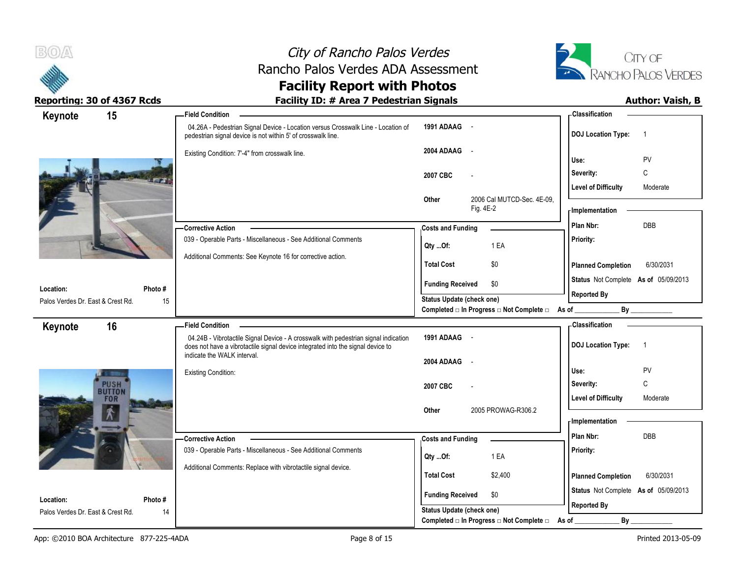



| Keynote                                        | 15            | -Field Condition                                                                                                                                                       |                                                             |                            | - Classification                                           |                |
|------------------------------------------------|---------------|------------------------------------------------------------------------------------------------------------------------------------------------------------------------|-------------------------------------------------------------|----------------------------|------------------------------------------------------------|----------------|
|                                                |               | 04.26A - Pedestrian Signal Device - Location versus Crosswalk Line - Location of<br>pedestrian signal device is not within 5' of crosswalk line.                       | 1991 ADAAG -                                                |                            | <b>DOJ</b> Location Type:                                  | $\overline{1}$ |
|                                                |               | Existing Condition: 7'-4" from crosswalk line.                                                                                                                         | 2004 ADAAG<br>$\sim$                                        |                            | Use:                                                       | PV             |
|                                                |               |                                                                                                                                                                        | 2007 CBC                                                    |                            | Severity:                                                  | $\mathsf{C}$   |
|                                                |               |                                                                                                                                                                        |                                                             |                            | <b>Level of Difficulty</b>                                 | Moderate       |
|                                                |               |                                                                                                                                                                        | Other<br>Fig. 4E-2                                          | 2006 Cal MUTCD-Sec. 4E-09, | - Implementation                                           |                |
|                                                |               | <b>Corrective Action</b>                                                                                                                                               | <b>Costs and Funding</b>                                    |                            | Plan Nbr:                                                  | <b>DBB</b>     |
|                                                |               | 039 - Operable Parts - Miscellaneous - See Additional Comments                                                                                                         | 1 EA<br>Qty Of:                                             |                            | Priority:                                                  |                |
|                                                |               | Additional Comments: See Keynote 16 for corrective action.                                                                                                             | \$0<br><b>Total Cost</b>                                    |                            | <b>Planned Completion</b>                                  | 6/30/2031      |
|                                                |               |                                                                                                                                                                        | <b>Funding Received</b><br>\$0                              |                            | Status Not Complete As of 05/09/2013                       |                |
| Location:<br>Palos Verdes Dr. East & Crest Rd. | Photo #<br>15 |                                                                                                                                                                        | <b>Status Update (check one)</b>                            |                            | <b>Reported By</b>                                         |                |
|                                                |               |                                                                                                                                                                        | Completed □ In Progress □ Not Complete □ As of _            |                            |                                                            | By             |
| Keynote                                        | 16            | <b>Field Condition</b>                                                                                                                                                 |                                                             |                            | - Classification                                           |                |
|                                                |               | 04.24B - Vibrotactile Signal Device - A crosswalk with pedestrian signal indication<br>does not have a vibrotactile signal device integrated into the signal device to | 1991 ADAAG -                                                |                            | <b>DOJ Location Type:</b>                                  | $\overline{1}$ |
|                                                |               |                                                                                                                                                                        |                                                             |                            |                                                            |                |
|                                                |               | indicate the WALK interval.                                                                                                                                            | 2004 ADAAG<br>$\sim$                                        |                            |                                                            |                |
|                                                |               | <b>Existing Condition:</b>                                                                                                                                             |                                                             |                            | Use:                                                       | <b>PV</b>      |
|                                                | <b>PUSH</b>   |                                                                                                                                                                        | 2007 CBC                                                    |                            | Severity:                                                  | C              |
|                                                | FOR           |                                                                                                                                                                        |                                                             |                            | <b>Level of Difficulty</b>                                 | Moderate       |
|                                                |               |                                                                                                                                                                        | Other                                                       | 2005 PROWAG-R306.2         | - Implementation                                           |                |
|                                                |               | - Corrective Action                                                                                                                                                    | <b>Costs and Funding</b>                                    |                            | Plan Nbr:                                                  | DBB            |
|                                                |               | 039 - Operable Parts - Miscellaneous - See Additional Comments                                                                                                         | 1 EA                                                        |                            | Priority:                                                  |                |
|                                                |               | Additional Comments: Replace with vibrotactile signal device.                                                                                                          | Qty Of:                                                     |                            |                                                            |                |
|                                                |               |                                                                                                                                                                        | <b>Total Cost</b>                                           | \$2,400                    | <b>Planned Completion</b>                                  | 6/30/2031      |
| Location:<br>Palos Verdes Dr. East & Crest Rd. | Photo #       |                                                                                                                                                                        | <b>Funding Received</b><br>\$0<br>Status Update (check one) |                            | Status Not Complete As of 05/09/2013<br><b>Reported By</b> |                |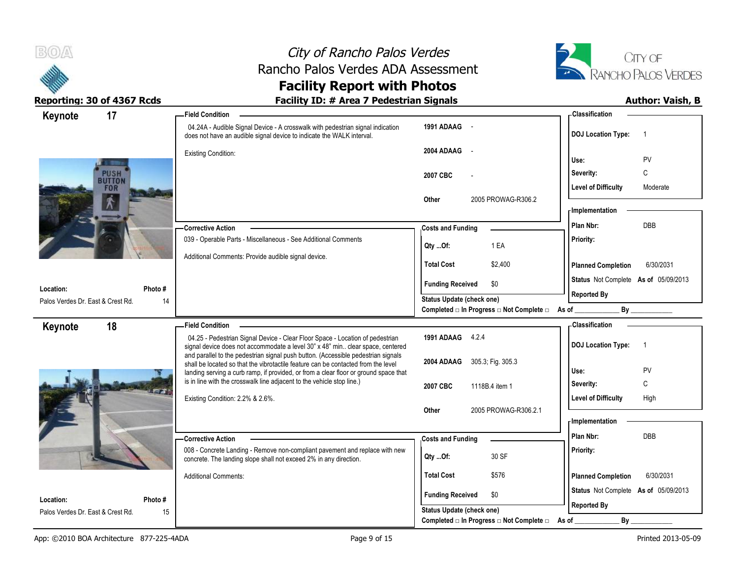



| 17<br>Keynote                           | -Field Condition                                                                                                                                                       |                                                                               | <b>Classification</b>                                      |
|-----------------------------------------|------------------------------------------------------------------------------------------------------------------------------------------------------------------------|-------------------------------------------------------------------------------|------------------------------------------------------------|
|                                         | 04.24A - Audible Signal Device - A crosswalk with pedestrian signal indication<br>does not have an audible signal device to indicate the WALK interval.                | 1991 ADAAG -                                                                  | <b>DOJ</b> Location Type:<br>$\overline{1}$                |
|                                         | <b>Existing Condition:</b>                                                                                                                                             | 2004 ADAAG<br>$\sim$                                                          | Use:<br>PV                                                 |
| <b>PUSH</b><br><b>BUTTON</b>            |                                                                                                                                                                        | 2007 CBC                                                                      | C<br>Severity:                                             |
| FOR                                     |                                                                                                                                                                        | Other<br>2005 PROWAG-R306.2                                                   | <b>Level of Difficulty</b><br>Moderate<br>- Implementation |
|                                         | - Corrective Action                                                                                                                                                    | <b>Costs and Funding</b>                                                      | DBB<br>Plan Nbr:                                           |
|                                         | 039 - Operable Parts - Miscellaneous - See Additional Comments                                                                                                         | 1 EA<br>$Qty$ Of:                                                             | Priority:                                                  |
|                                         | Additional Comments: Provide audible signal device.                                                                                                                    | <b>Total Cost</b><br>\$2,400                                                  | <b>Planned Completion</b><br>6/30/2031                     |
| Photo#<br>Location:                     |                                                                                                                                                                        | <b>Funding Received</b><br>\$0                                                | Status Not Complete As of 05/09/2013                       |
| Palos Verdes Dr. East & Crest Rd.<br>14 |                                                                                                                                                                        | Status Update (check one)<br>Completed □ In Progress □ Not Complete □ As of _ | <b>Reported By</b><br>By                                   |
| 18<br>Keynote                           | <b>Field Condition</b>                                                                                                                                                 |                                                                               | - Classification                                           |
|                                         | 04.25 - Pedestrian Signal Device - Clear Floor Space - Location of pedestrian<br>signal device does not accommodate a level 30" x 48" min. clear space, centered       | 1991 ADAAG 4.2.4                                                              | <b>DOJ</b> Location Type:<br>$\overline{1}$                |
|                                         |                                                                                                                                                                        |                                                                               |                                                            |
|                                         | and parallel to the pedestrian signal push button. (Accessible pedestrian signals<br>shall be located so that the vibrotactile feature can be contacted from the level | 305.3; Fig. 305.3<br>2004 ADAAG                                               | PV<br>Use:                                                 |
|                                         | landing serving a curb ramp, if provided, or from a clear floor or ground space that<br>is in line with the crosswalk line adjacent to the vehicle stop line.)         | 2007 CBC<br>1118B.4 item 1                                                    | C<br>Severity:                                             |
|                                         | Existing Condition: 2.2% & 2.6%.                                                                                                                                       |                                                                               | <b>Level of Difficulty</b><br>High                         |
|                                         |                                                                                                                                                                        | 2005 PROWAG-R306.2.1<br>Other                                                 | - Implementation                                           |
|                                         | - Corrective Action                                                                                                                                                    | <b>Costs and Funding</b>                                                      | Plan Nbr:<br><b>DBB</b>                                    |
|                                         | 008 - Concrete Landing - Remove non-compliant pavement and replace with new<br>concrete. The landing slope shall not exceed 2% in any direction.                       | 30 SF<br>Qty Of:                                                              | Priority:                                                  |
|                                         | <b>Additional Comments:</b>                                                                                                                                            | <b>Total Cost</b><br>\$576                                                    | <b>Planned Completion</b><br>6/30/2031                     |
| Location:<br>Photo#                     |                                                                                                                                                                        | <b>Funding Received</b><br>\$0                                                | Status Not Complete As of 05/09/2013<br><b>Reported By</b> |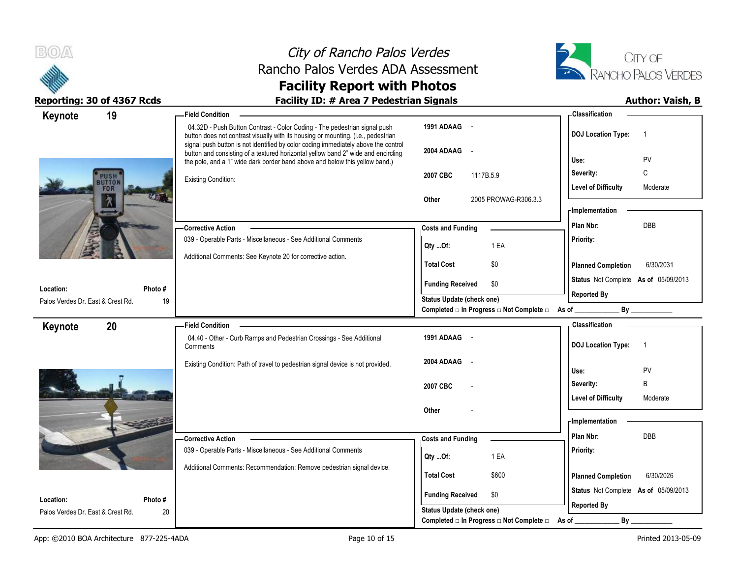



| 19<br>Keynote                           | <b>Field Condition</b>                                                                                                                                                                                                                               |                                                                               | - Classification                                           |
|-----------------------------------------|------------------------------------------------------------------------------------------------------------------------------------------------------------------------------------------------------------------------------------------------------|-------------------------------------------------------------------------------|------------------------------------------------------------|
|                                         | 04.32D - Push Button Contrast - Color Coding - The pedestrian signal push<br>button does not contrast visually with its housing or mounting. (i.e., pedestrian<br>signal push button is not identified by color coding immediately above the control | 1991 ADAAG -                                                                  | <b>DOJ</b> Location Type:<br>$\overline{1}$                |
|                                         | button and consisting of a textured horizontal yellow band 2" wide and encircling<br>the pole, and a 1" wide dark border band above and below this yellow band.)                                                                                     | 2004 ADAAG<br>$\sim$                                                          | PV<br>Use:                                                 |
| UTTO!                                   | <b>Existing Condition:</b>                                                                                                                                                                                                                           | 2007 CBC<br>1117B.5.9                                                         | C<br>Severity:<br><b>Level of Difficulty</b><br>Moderate   |
| FOR<br>'N                               |                                                                                                                                                                                                                                                      | 2005 PROWAG-R306.3.3<br>Other                                                 | - Implementation                                           |
|                                         | <b>Corrective Action</b>                                                                                                                                                                                                                             | <b>Costs and Funding</b>                                                      | <b>DBB</b><br>Plan Nbr:                                    |
|                                         | 039 - Operable Parts - Miscellaneous - See Additional Comments                                                                                                                                                                                       | 1 EA<br>Qty Of:                                                               | Priority:                                                  |
|                                         | Additional Comments: See Keynote 20 for corrective action.                                                                                                                                                                                           | <b>Total Cost</b><br>\$0                                                      | <b>Planned Completion</b><br>6/30/2031                     |
| Location:<br>Photo#                     |                                                                                                                                                                                                                                                      | <b>Funding Received</b><br>\$0                                                | Status Not Complete As of 05/09/2013                       |
| Palos Verdes Dr. East & Crest Rd.<br>19 |                                                                                                                                                                                                                                                      | Status Update (check one)<br>Completed □ In Progress □ Not Complete □ As of _ | <b>Reported By</b><br>$By$ <sub>___</sub>                  |
| 20<br>Keynote                           | <b>Field Condition</b>                                                                                                                                                                                                                               |                                                                               | - Classification                                           |
|                                         | 04.40 - Other - Curb Ramps and Pedestrian Crossings - See Additional<br>Comments                                                                                                                                                                     | 1991 ADAAG -                                                                  | <b>DOJ Location Type:</b><br>$\overline{1}$                |
|                                         | Existing Condition: Path of travel to pedestrian signal device is not provided.                                                                                                                                                                      | 2004 ADAAG                                                                    |                                                            |
|                                         |                                                                                                                                                                                                                                                      |                                                                               | Use:<br>PV                                                 |
|                                         |                                                                                                                                                                                                                                                      | 2007 CBC                                                                      | B<br>Severity:                                             |
|                                         |                                                                                                                                                                                                                                                      |                                                                               | <b>Level of Difficulty</b><br>Moderate                     |
|                                         |                                                                                                                                                                                                                                                      | Other                                                                         | - Implementation                                           |
|                                         | - Corrective Action                                                                                                                                                                                                                                  | <b>Costs and Funding</b>                                                      | Plan Nbr:<br>DBB                                           |
|                                         | 039 - Operable Parts - Miscellaneous - See Additional Comments                                                                                                                                                                                       | 1 EA<br>Qty Of:                                                               | Priority:                                                  |
|                                         | Additional Comments: Recommendation: Remove pedestrian signal device.                                                                                                                                                                                | <b>Total Cost</b><br>\$600                                                    | <b>Planned Completion</b><br>6/30/2026                     |
| Location:<br>Photo#                     |                                                                                                                                                                                                                                                      | <b>Funding Received</b><br>\$0                                                | Status Not Complete As of 05/09/2013<br><b>Reported By</b> |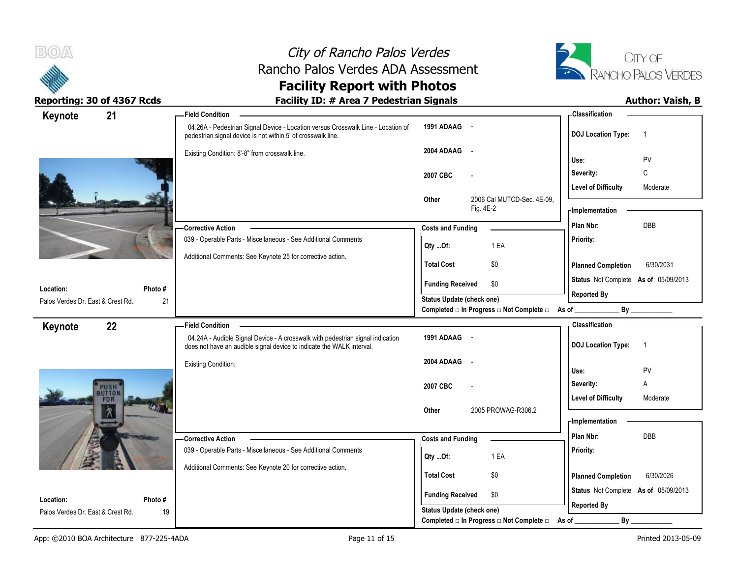



| Keynote                           | 21                        | - Field Condition                                                                                                                                       |                           |                                                | <b>Classification</b>                       |
|-----------------------------------|---------------------------|---------------------------------------------------------------------------------------------------------------------------------------------------------|---------------------------|------------------------------------------------|---------------------------------------------|
|                                   |                           | 04.26A - Pedestrian Signal Device - Location versus Crosswalk Line - Location of<br>pedestrian signal device is not within 5' of crosswalk line.        | 1991 ADAAG -              |                                                | <b>DOJ Location Type:</b><br>$\overline{1}$ |
|                                   |                           | Existing Condition: 8'-8" from crosswalk line.                                                                                                          | 2004 ADAAG<br>$\sim$      |                                                | PV<br>Use:                                  |
|                                   |                           |                                                                                                                                                         | 2007 CBC                  | $\overline{\phantom{a}}$                       | C<br>Severity:                              |
|                                   |                           |                                                                                                                                                         |                           |                                                | <b>Level of Difficulty</b><br>Moderate      |
|                                   |                           |                                                                                                                                                         | Other                     | 2006 Cal MUTCD-Sec. 4E-09,<br>Fig. 4E-2        | - Implementation                            |
|                                   |                           | - Corrective Action                                                                                                                                     | <b>Costs and Funding</b>  |                                                | DBB<br>Plan Nbr:                            |
|                                   |                           | 039 - Operable Parts - Miscellaneous - See Additional Comments                                                                                          | Qty Of:                   | 1 EA                                           | Priority:                                   |
|                                   |                           | Additional Comments: See Keynote 25 for corrective action.                                                                                              | <b>Total Cost</b>         | \$0                                            | <b>Planned Completion</b><br>6/30/2031      |
| Location:                         | Photo #                   |                                                                                                                                                         | <b>Funding Received</b>   | \$0                                            | Status Not Complete As of 05/09/2013        |
| Palos Verdes Dr. East & Crest Rd. |                           | 21                                                                                                                                                      | Status Update (check one) |                                                | <b>Reported By</b>                          |
|                                   |                           |                                                                                                                                                         |                           | Completed □ In Progress □ Not Complete □ As of | By                                          |
| Keynote                           | 22                        | <b>Field Condition</b>                                                                                                                                  |                           |                                                | - Classification                            |
|                                   |                           | 04.24A - Audible Signal Device - A crosswalk with pedestrian signal indication<br>does not have an audible signal device to indicate the WALK interval. | 1991 ADAAG -              |                                                | <b>DOJ Location Type:</b><br>$\overline{1}$ |
|                                   |                           | <b>Existing Condition:</b>                                                                                                                              | 2004 ADAAG<br>$\sim$      |                                                | Use:<br>PV                                  |
|                                   |                           |                                                                                                                                                         | 2007 CBC                  |                                                | Α<br>Severity:                              |
|                                   | <b>PUSH</b><br><b>FOR</b> |                                                                                                                                                         |                           |                                                | <b>Level of Difficulty</b><br>Moderate      |
|                                   | 贪                         |                                                                                                                                                         | Other                     | 2005 PROWAG-R306.2                             | - Implementation                            |
|                                   |                           |                                                                                                                                                         |                           |                                                | Plan Nbr:<br>DBB                            |
|                                   |                           | -Corrective Action<br>039 - Operable Parts - Miscellaneous - See Additional Comments                                                                    | <b>Costs and Funding</b>  |                                                | Priority:                                   |
|                                   |                           |                                                                                                                                                         | Qty Of:                   | 1 EA                                           |                                             |
|                                   |                           | Additional Comments: See Keynote 20 for corrective action.                                                                                              | <b>Total Cost</b>         | \$0                                            | <b>Planned Completion</b><br>6/30/2026      |
| Location:                         | Photo#                    |                                                                                                                                                         | <b>Funding Received</b>   | \$0                                            | Status Not Complete As of 05/09/2013        |
| Palos Verdes Dr. East & Crest Rd. |                           | 19                                                                                                                                                      | Status Update (check one) |                                                | <b>Reported By</b>                          |
|                                   |                           |                                                                                                                                                         |                           | Completed □ In Progress □ Not Complete □       | $By_$<br>As of                              |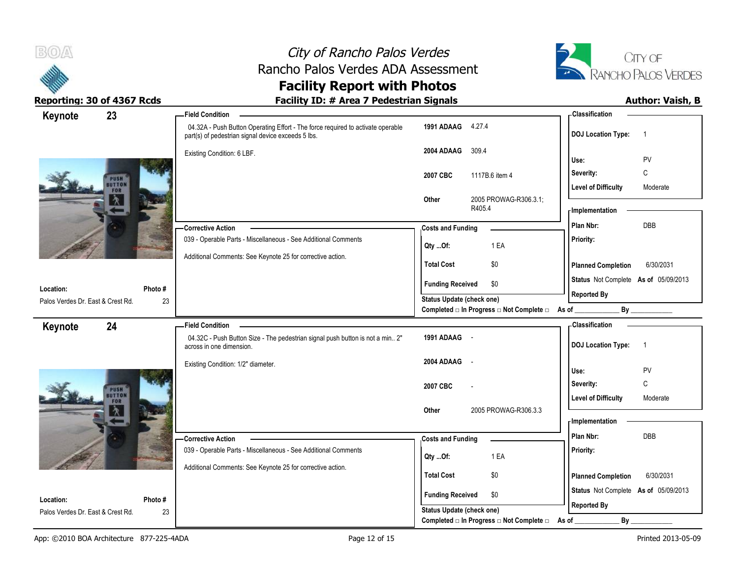

# City of Rancho Palos Verdes Rancho Palos Verdes ADA Assessment



| Keynote                           | 23                | <b>Field Condition</b>                                                                                                                |                                                                                                     | <b>Classification</b>                       |
|-----------------------------------|-------------------|---------------------------------------------------------------------------------------------------------------------------------------|-----------------------------------------------------------------------------------------------------|---------------------------------------------|
|                                   |                   | 04.32A - Push Button Operating Effort - The force required to activate operable<br>part(s) of pedestrian signal device exceeds 5 lbs. | 1991 ADAAG 4.27.4                                                                                   | <b>DOJ Location Type:</b><br>$\overline{1}$ |
|                                   |                   | Existing Condition: 6 LBF.                                                                                                            | 309.4<br>2004 ADAAG                                                                                 | PV<br>Use:                                  |
|                                   |                   |                                                                                                                                       |                                                                                                     | $\mathbb C$<br>Severity:                    |
| PUSH<br><b>UTTON</b>              |                   | 1117B.6 item 4<br>2007 CBC                                                                                                            |                                                                                                     |                                             |
|                                   |                   |                                                                                                                                       | 2005 PROWAG-R306.3.1;<br>Other                                                                      | <b>Level of Difficulty</b><br>Moderate      |
|                                   |                   |                                                                                                                                       | R405.4                                                                                              | - Implementation                            |
|                                   |                   | <b>Corrective Action</b>                                                                                                              | <b>Costs and Funding</b>                                                                            | DBB<br>Plan Nbr:                            |
|                                   |                   | 039 - Operable Parts - Miscellaneous - See Additional Comments                                                                        | 1 EA<br>Qty Of:                                                                                     | Priority:                                   |
|                                   |                   | Additional Comments: See Keynote 25 for corrective action.                                                                            | <b>Total Cost</b><br>\$0                                                                            | <b>Planned Completion</b><br>6/30/2031      |
|                                   |                   |                                                                                                                                       |                                                                                                     | Status Not Complete As of 05/09/2013        |
| Location:                         | Photo #           |                                                                                                                                       | <b>Funding Received</b><br>\$0                                                                      | <b>Reported By</b>                          |
| Palos Verdes Dr. East & Crest Rd. | 23                |                                                                                                                                       | <b>Status Update (check one)</b><br>Completed $\Box$ In Progress $\Box$ Not Complete $\Box$ As of _ |                                             |
| Keynote                           | 24                | <b>Field Condition</b>                                                                                                                |                                                                                                     | - Classification                            |
|                                   |                   | 04.32C - Push Button Size - The pedestrian signal push button is not a min 2"<br>across in one dimension.                             | 1991 ADAAG -                                                                                        | <b>DOJ Location Type:</b><br>$\overline{1}$ |
|                                   |                   | Existing Condition: 1/2" diameter.                                                                                                    | 2004 ADAAG<br>$\sim$                                                                                |                                             |
|                                   |                   |                                                                                                                                       |                                                                                                     | PV<br>Use:                                  |
|                                   | PUSH <sup>O</sup> |                                                                                                                                       | 2007 CBC                                                                                            | C<br>Severity:                              |
|                                   | FOR               |                                                                                                                                       | 2005 PROWAG-R306.3.3<br>Other                                                                       | <b>Level of Difficulty</b><br>Moderate      |
|                                   |                   |                                                                                                                                       |                                                                                                     | - Implementation                            |
|                                   |                   | -Corrective Action                                                                                                                    | <b>Costs and Funding</b>                                                                            | <b>DBB</b><br>Plan Nbr:                     |
|                                   |                   | 039 - Operable Parts - Miscellaneous - See Additional Comments                                                                        | 1 EA<br>Qty Of:                                                                                     | Priority:                                   |
|                                   |                   | Additional Comments: See Keynote 25 for corrective action.                                                                            |                                                                                                     |                                             |
|                                   |                   |                                                                                                                                       | <b>Total Cost</b><br>\$0                                                                            | <b>Planned Completion</b><br>6/30/2031      |
| Location:                         | Photo #           |                                                                                                                                       | <b>Funding Received</b><br>\$0                                                                      | Status Not Complete As of 05/09/2013        |
| Palos Verdes Dr. East & Crest Rd. | 23                |                                                                                                                                       | Status Update (check one)                                                                           | <b>Reported By</b>                          |
|                                   |                   |                                                                                                                                       | Completed □ In Progress □ Not Complete □                                                            | By<br>As of                                 |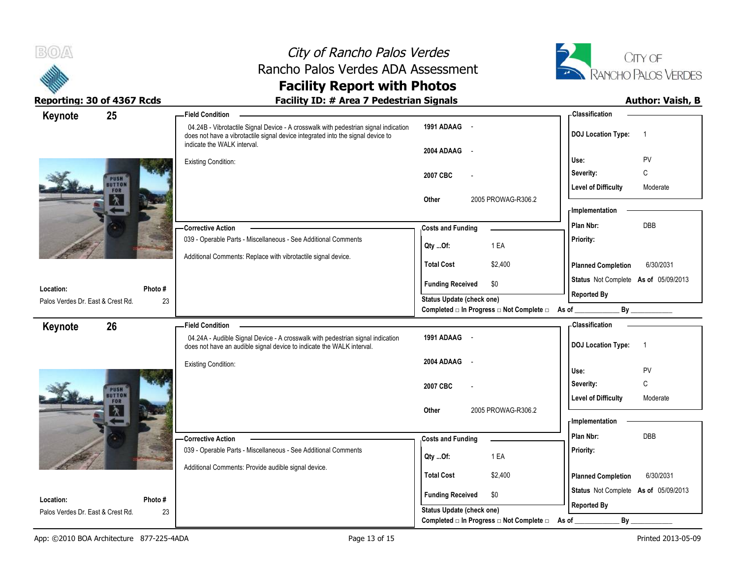

# City of Rancho Palos Verdes Rancho Palos Verdes ADA Assessment



| Keynote                           | 25                    | <b>Field Condition</b>                                                                                                                                                                                |                                                                       | - Classification                            |
|-----------------------------------|-----------------------|-------------------------------------------------------------------------------------------------------------------------------------------------------------------------------------------------------|-----------------------------------------------------------------------|---------------------------------------------|
|                                   |                       | 04.24B - Vibrotactile Signal Device - A crosswalk with pedestrian signal indication<br>does not have a vibrotactile signal device integrated into the signal device to<br>indicate the WALK interval. | 1991 ADAAG -                                                          | <b>DOJ Location Type:</b><br>$\overline{1}$ |
|                                   |                       |                                                                                                                                                                                                       | 2004 ADAAG<br>$\sim$                                                  | PV<br>Use:                                  |
|                                   |                       | <b>Existing Condition:</b>                                                                                                                                                                            | 2007 CBC                                                              | С<br>Severity:                              |
|                                   | PUSH<br><b>NOTTON</b> |                                                                                                                                                                                                       |                                                                       | <b>Level of Difficulty</b><br>Moderate      |
|                                   | FOR                   |                                                                                                                                                                                                       | 2005 PROWAG-R306.2<br>Other                                           |                                             |
|                                   |                       |                                                                                                                                                                                                       |                                                                       | - Implementation                            |
|                                   |                       | - Corrective Action                                                                                                                                                                                   | <b>Costs and Funding</b>                                              | Plan Nbr:<br><b>DBB</b>                     |
|                                   |                       | 039 - Operable Parts - Miscellaneous - See Additional Comments                                                                                                                                        | 1 EA<br>Qty Of:                                                       | Priority:                                   |
|                                   |                       | Additional Comments: Replace with vibrotactile signal device.                                                                                                                                         | <b>Total Cost</b><br>\$2,400                                          | <b>Planned Completion</b><br>6/30/2031      |
|                                   |                       |                                                                                                                                                                                                       | \$0<br><b>Funding Received</b>                                        | Status Not Complete As of 05/09/2013        |
| Location:                         | Photo#                |                                                                                                                                                                                                       | Status Update (check one)                                             | <b>Reported By</b>                          |
| Palos Verdes Dr. East & Crest Rd. | 23                    |                                                                                                                                                                                                       | Completed □ In Progress □ Not Complete □ As of _                      |                                             |
| Keynote                           | 26                    | <b>Field Condition</b>                                                                                                                                                                                |                                                                       | <b>Classification</b>                       |
|                                   |                       | 04.24A - Audible Signal Device - A crosswalk with pedestrian signal indication<br>does not have an audible signal device to indicate the WALK interval.                                               | 1991 ADAAG -                                                          | <b>DOJ Location Type:</b><br>$\overline{1}$ |
|                                   |                       | <b>Existing Condition:</b>                                                                                                                                                                            | 2004 ADAAG<br>$\sim$                                                  | Use:<br>PV                                  |
|                                   |                       |                                                                                                                                                                                                       |                                                                       | C<br>Severity:                              |
|                                   | PUSH<br>UTTON         |                                                                                                                                                                                                       | 2007 CBC                                                              | <b>Level of Difficulty</b><br>Moderate      |
|                                   |                       |                                                                                                                                                                                                       | 2005 PROWAG-R306.2<br>Other                                           |                                             |
|                                   |                       |                                                                                                                                                                                                       |                                                                       | - Implementation                            |
|                                   |                       | - Corrective Action                                                                                                                                                                                   | <b>Costs and Funding</b>                                              | Plan Nbr:<br><b>DBB</b>                     |
|                                   |                       | 039 - Operable Parts - Miscellaneous - See Additional Comments                                                                                                                                        | 1 EA<br>Qty Of:                                                       | Priority:                                   |
|                                   |                       | Additional Comments: Provide audible signal device.                                                                                                                                                   |                                                                       |                                             |
|                                   |                       |                                                                                                                                                                                                       | <b>Total Cost</b><br>\$2,400                                          | <b>Planned Completion</b><br>6/30/2031      |
|                                   |                       |                                                                                                                                                                                                       | <b>Funding Received</b><br>\$0                                        | Status Not Complete As of 05/09/2013        |
| Location:                         | Photo #               |                                                                                                                                                                                                       |                                                                       |                                             |
| Palos Verdes Dr. East & Crest Rd. | 23                    |                                                                                                                                                                                                       | Status Update (check one)<br>Completed □ In Progress □ Not Complete □ | <b>Reported By</b><br>By<br>As of           |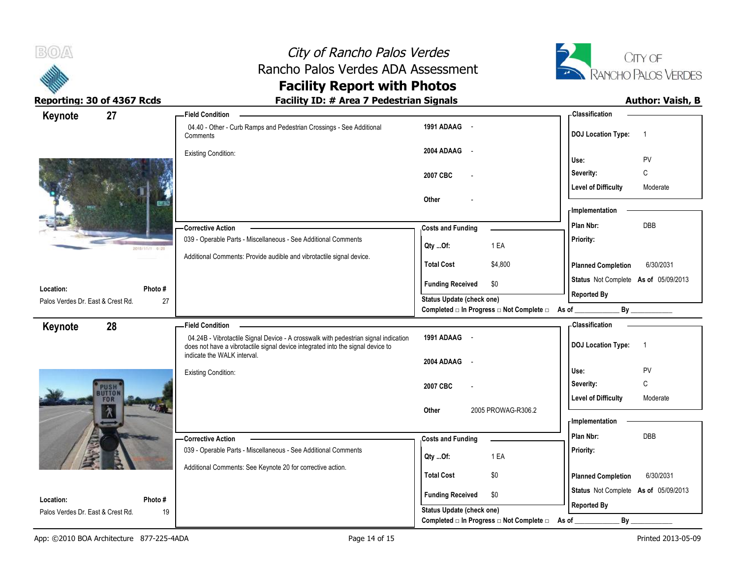



| 27<br>Keynote                                  |                | -Field Condition                                                                                                                                                       |                                                                                              |                    | -Classification                      |                    |  |
|------------------------------------------------|----------------|------------------------------------------------------------------------------------------------------------------------------------------------------------------------|----------------------------------------------------------------------------------------------|--------------------|--------------------------------------|--------------------|--|
|                                                |                | 04.40 - Other - Curb Ramps and Pedestrian Crossings - See Additional<br>Comments                                                                                       | 1991 ADAAG -                                                                                 |                    | <b>DOJ Location Type:</b>            | $\overline{1}$     |  |
|                                                |                | <b>Existing Condition:</b>                                                                                                                                             | 2004 ADAAG -                                                                                 |                    | Use:                                 | PV                 |  |
|                                                |                |                                                                                                                                                                        | 2007 CBC                                                                                     |                    | Severity:                            | C                  |  |
|                                                |                |                                                                                                                                                                        | Other                                                                                        |                    | <b>Level of Difficulty</b>           | Moderate           |  |
|                                                |                |                                                                                                                                                                        |                                                                                              |                    | - Implementation                     |                    |  |
|                                                |                | <b>Corrective Action</b>                                                                                                                                               | <b>Costs and Funding</b>                                                                     |                    | Plan Nbr:                            | DBB                |  |
|                                                | 2010/11/1 6:20 | 039 - Operable Parts - Miscellaneous - See Additional Comments                                                                                                         | Qty  Of:                                                                                     | 1 EA               | Priority:                            |                    |  |
|                                                |                | Additional Comments: Provide audible and vibrotactile signal device.                                                                                                   | <b>Total Cost</b>                                                                            | \$4,800            | <b>Planned Completion</b>            | 6/30/2031          |  |
| Location:                                      | Photo #        |                                                                                                                                                                        | <b>Funding Received</b>                                                                      | \$0                | Status Not Complete As of 05/09/2013 |                    |  |
| Palos Verdes Dr. East & Crest Rd.<br>27        |                |                                                                                                                                                                        | Status Update (check one)<br>Completed $\Box$ In Progress $\Box$ Not Complete $\Box$ As of _ |                    |                                      | <b>Reported By</b> |  |
| 28<br>Keynote                                  |                | <b>Field Condition</b>                                                                                                                                                 |                                                                                              |                    | - Classification                     |                    |  |
|                                                |                | 04.24B - Vibrotactile Signal Device - A crosswalk with pedestrian signal indication<br>does not have a vibrotactile signal device integrated into the signal device to | 1991 ADAAG -                                                                                 |                    | <b>DOJ Location Type:</b>            | $\overline{1}$     |  |
|                                                |                | indicate the WALK interval.                                                                                                                                            |                                                                                              |                    |                                      |                    |  |
|                                                |                |                                                                                                                                                                        | 2004 ADAAG                                                                                   |                    |                                      |                    |  |
|                                                |                | <b>Existing Condition:</b>                                                                                                                                             |                                                                                              |                    | Use:                                 | PV                 |  |
| <b>PUSH</b>                                    |                |                                                                                                                                                                        | 2007 CBC                                                                                     |                    | Severity:                            | $\mathbb C$        |  |
| <b>FOR</b>                                     |                |                                                                                                                                                                        |                                                                                              |                    | <b>Level of Difficulty</b>           | Moderate           |  |
| 氕                                              |                |                                                                                                                                                                        | Other                                                                                        | 2005 PROWAG-R306.2 | - Implementation                     |                    |  |
|                                                |                | - Corrective Action                                                                                                                                                    |                                                                                              |                    | Plan Nbr:                            | DBB                |  |
|                                                |                | 039 - Operable Parts - Miscellaneous - See Additional Comments                                                                                                         | <b>Costs and Funding</b><br>Qty Of:                                                          | 1 EA               | Priority:                            |                    |  |
|                                                |                | Additional Comments: See Keynote 20 for corrective action.                                                                                                             | <b>Total Cost</b>                                                                            | \$0                | <b>Planned Completion</b>            | 6/30/2031          |  |
|                                                |                |                                                                                                                                                                        | <b>Funding Received</b>                                                                      | \$0                | Status Not Complete As of 05/09/2013 |                    |  |
| Location:<br>Palos Verdes Dr. East & Crest Rd. | Photo #<br>19  |                                                                                                                                                                        | Status Update (check one)<br>Completed □ In Progress □ Not Complete □                        |                    | <b>Reported By</b><br>By<br>As of    |                    |  |